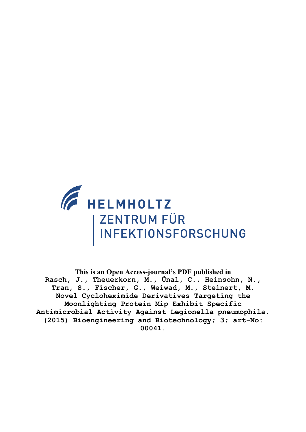

**This is an Open Access-journal's PDF published in Rasch, J., Theuerkorn, M., Ünal, C., Heinsohn, N., Tran, S., Fischer, G., Weiwad, M., Steinert, M. Novel Cycloheximide Derivatives Targeting the Moonlighting Protein Mip Exhibit Specific Antimicrobial Activity Against Legionella pneumophila. (2015) Bioengineering and Biotechnology; 3; art-No: 00041.**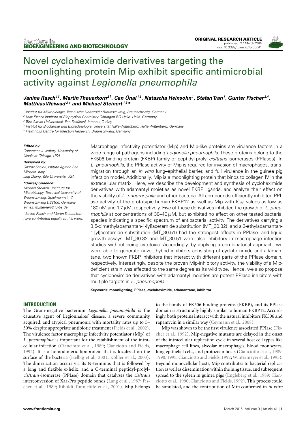

# [Novel cycloheximide derivatives targeting the](http://www.frontiersin.org/Journal/10.3389/fbioe.2015.00041/abstract) [moonlighting protein Mip exhibit specific antimicrobial](http://www.frontiersin.org/Journal/10.3389/fbioe.2015.00041/abstract) activity against [Legionella pneumophila](http://www.frontiersin.org/Journal/10.3389/fbioe.2015.00041/abstract)

# **Janine Rasch<sup>1</sup>† , Martin Theuerkorn<sup>2</sup>† , [Can Ünal](http://loop.frontiersin.org/people/200619/overview) 1,3, Natascha Heinsohn<sup>1</sup> , Stefan Tran<sup>1</sup> , Gunter Fischer 2,4 , MatthiasWeiwad2,4 and [Michael Steinert](http://loop.frontiersin.org/people/16213/overview) 1,5\***

1 Institut für Mikrobiologie, Technische Universität Braunschweig, Braunschweig, Germany

<sup>2</sup> Max Planck Institute of Biophysical Chemistry Göttingen BO Halle, Halle, Germany

<sup>3</sup> Türk-Alman Üniversitesi, Fen Fakültesi, Istanbul, Turkey

4 Institut für Biochemie und Biotechnologie, Universität Halle-Wittenberg, Halle-Wittenberg, Germany

<sup>5</sup> Helmholtz Centre for Infection Research, Braunschweig, Germany

#### **Edited by:**

Constance J. Jeffery, University of Illinois at Chicago, USA

#### **Reviewed by:**

Gaurav Sablok, Istituto Agrario San Michele, Italy Jing Zhang, Yale University, USA

#### **\*Correspondence:**

Michael Steinert, Institute for Microbiology, Technical University of Braunschweig, Spielmannstr. 7, Braunschweig D38106, Germany e-mail: [m.steinert@tu-bs.de](mailto:m.steinert@tu-bs.de)

†Janine Rasch and Martin Theuerkorn have contributed equally to this work. Macrophage infectivity potentiator (Mip) and Mip-like proteins are virulence factors in a wide range of pathogens including Legionella pneumophila. These proteins belong to the FK506 binding protein (FKBP) family of peptidyl-prolyl-cis/trans-isomerases (PPIases). In L. pneumophila, the PPIase activity of Mip is required for invasion of macrophages, transmigration through an in vitro lung–epithelial barrier, and full virulence in the guinea pig infection model. Additionally, Mip is a moonlighting protein that binds to collagen IV in the extracellular matrix. Here, we describe the development and synthesis of cycloheximide derivatives with adamantyl moieties as novel FKBP ligands, and analyze their effect on the viability of L. pneumophila and other bacteria. All compounds efficiently inhibited PPIase activity of the prototypic human FKBP12 as well as Mip with  $IC_{50}$ -values as low as 180 nM and 1.7  $\mu$ M, respectively. Five of these derivatives inhibited the growth of L. pneumophila at concentrations of  $30-40 \mu$ M, but exhibited no effect on other tested bacterial species indicating a specific spectrum of antibacterial activity. The derivatives carrying a 3,5-dimethyladamantan-1-[yl]acetamide substitution (MT\_30.32), and a 3-ethyladamantan-1-[yl]acetamide substitution (MT\_30.51) had the strongest effects in PPIase- and liquid growth assays. MT\_30.32 and MT\_30.51 were also inhibitory in macrophage infection studies without being cytotoxic. Accordingly, by applying a combinatorial approach, we were able to generate novel, hybrid inhibitors consisting of cycloheximide and adamantane, two known FKBP inhibitors that interact with different parts of the PPIase domain, respectively. Interestingly, despite the proven Mip-inhibitory activity, the viability of a Mipdeficient strain was affected to the same degree as its wild type. Hence, we also propose that cycloheximide derivatives with adamantyl moieties are potent PPIase inhibitors with multiple targets in L. pneumophila.

**Keywords: moonlighting, PPIase, cycloheximide, adamantane, inhibitor**

# **INTRODUCTION**

The Gram-negative bacterium *Legionella pneumophila* is the causative agent of Legionnaires' disease, a severe community acquired, and atypical pneumonia with mortality rates up to 5– 30% despite appropriate antibiotic treatment [\(Fields et al., 2002\)](#page-8-0). The virulence factor macrophage infectivity potentiator (Mip) of *L. pneumophila* is important for the establishment of the intracellular infection [\(Cianciotto et al., 1989;](#page-8-1) [Cianciotto and Fields,](#page-8-2) [1992\)](#page-8-2). It is a homodimeric lipoprotein that is localized on the surface of the bacteria [\(Helbig et al., 2001;](#page-8-3) [Köhler et al., 2003\)](#page-8-4). The dimerization occurs via its N-terminus that is followed by a long and flexible α-helix, and a C-terminal peptidyl-prolyl*cis/trans*-isomerase (PPIase) domain that catalyzes the *cis/trans* interconversion of Xaa-Pro peptide bonds [\(Lang et al., 1987;](#page-8-5) [Fis](#page-8-6)[cher et al., 1989;](#page-8-6) [Riboldi-Tunnicliffe et al., 2001\)](#page-8-7). Mip belongs

to the family of FK506 binding proteins (FKBP), and its PPIase domain is structurally highly similar to human FKBP12. Accordingly, both proteins interact with the natural inhibitors FK506 and rapamycin in a similar way [\(Ceymann et al., 2008\)](#page-7-0).

Mip was shown to be the first virulence associated PPIase [\(Fis](#page-8-8)[cher et al., 1992\)](#page-8-8). Mip-negative mutants are delayed in the onset of the intracellular replication cycle in several host cell types like macrophage cell lines, alveolar macrophages, blood monocytes, lung epithelial cells, and protozoan hosts [\(Cianciotto et al., 1989,](#page-8-1) [1990,](#page-8-9) [1995;](#page-8-10) [Cianciotto and Fields, 1992;](#page-8-2)[Wintermeyer et al., 1995\)](#page-8-11). Beyond monocellular hosts, Mip contributes to bacterial replication as well as dissemination within the lung tissue, and subsequent spread to the spleen in guinea pigs [\(Engleberg et al., 1989;](#page-8-12) [Cian](#page-8-9)[ciotto et al., 1990;](#page-8-9) [Cianciotto and Fields, 1992\)](#page-8-2). This process could be simulated, and the contribution of Mip confirmed in *in vitro*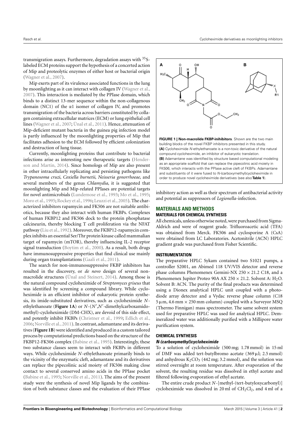transmigration assays. Furthermore, degradation assays with  $35S$ labeled ECM proteins support the hypothesis of a concerted action of Mip and proteolytic enzymes of either host or bacterial origin [\(Wagner et al.,](#page-8-13) [2007\)](#page-8-13).

Mip exerts part of its virulence associated functions in the lung by moonlighting as it can interact with collagen IV [\(Wagner et al.,](#page-8-13) [2007\)](#page-8-13). This interaction is mediated by the PPIase domain, which binds to a distinct 13-mer sequence within the non-collagenous domain (NC1) of the α1 isomer of collagen IV, and promotes transmigration of the bacteria across barriers constituted by collagen containing extracellular matrices (ECM) or lung epithelial cell lines [\(Wagner et al.,](#page-8-13) [2007;](#page-8-13) [Ünal et al.,](#page-8-14) [2011\)](#page-8-14). Hence, attenuation of Mip-deficient mutant bacteria in the guinea pig infection model is partly influenced by the moonlighting properties of Mip that facilitates adhesion to the ECM followed by efficient colonization and destruction of lung tissue.

Currently, moonlighting proteins that contribute to bacterial infections arise as interesting new therapeutic targets [\(Hender](#page-8-15)[son and Martin,](#page-8-15) [2014\)](#page-8-15). Since homologs of Mip are also present in other intracellularly replicating and persisting pathogens like *Trypanosoma cruzi*, *Coxiella burnetii*, *Neisseria gonorrhoeae,* and several members of the genus *Chlamydia,* it is suggested that moonlighting Mip and Mip-related PPIases are potential targets for novel antimicrobials [\(Lundemose et al.,](#page-8-16) [1993;](#page-8-16) [Mo et al.,](#page-8-17) [1995;](#page-8-17) [Moro et al.,](#page-8-18) [1995;](#page-8-18) [Rockey et al.,](#page-8-19) [1996;](#page-8-19) [Leuzzi et al.,](#page-8-20) [2005\)](#page-8-20). The characterized inhibitors rapamycin and FK506 are not suitable antibiotics, because they also interact with human FKBPs. Complexes of human FKBP12 and FK506 dock to the protein phosphatase calcineurin, thereby blocking T cell proliferation via the NFAT pathway [\(Liu et al.,](#page-8-21) [1992\)](#page-8-21). Moreover, the FKBP12-rapamycin complex inhibits an essential Ser/Thr protein kinase called mammalian target of rapamycin (mTOR), thereby influencing IL-2 receptor signal transduction [\(Boytim et al.,](#page-7-1) [2000\)](#page-7-1). As a result, both drugs have immunosuppressive properties that find clinical use mainly during organ transplantations [\(Gaali et al.,](#page-8-22) [2011\)](#page-8-22).

The search for non-immunosuppressive FKBP inhibitors has resulted in the discovery, or *de novo* design of several nonmacrolide structures [\(Ünal and Steinert,](#page-8-23) [2014\)](#page-8-23). Among those is the natural compound cycloheximide of *Streptomyces griseus* that was identified by screening a compound library. While cycloheximide is an efficient inhibitor of eukaryotic protein synthesis, its imide-substituted derivatives, such as cycloheximide *N*-ethylethanoate ([Figure 1A](#page-2-0)) or  $N-(N',N'-{\rm dimethylcarboxamido-}$ methyl)-cycloheximide (DM-CHX), are devoid of this side effect, and potently inhibit FKBPs [\(Christner et al.,](#page-7-2) [1999;](#page-7-2) [Edlich et al.,](#page-8-24) [2006;](#page-8-24) [Norville et al.,](#page-8-25) [2011\)](#page-8-25). In contrast, adamantane and its derivatives (**[Figure 1B](#page-2-0)**) were identified and produced in a custom tailored process by computational predictions based on the structure of the FKBP12-FK506 complex [\(Babine et al.,](#page-7-3) [1995\)](#page-7-3). Interestingly, these two substance classes seem to interact with FKBPs in different ways. While cycloheximide *N*-ethylethanoate primarily binds to the vicinity of the enzymatic cleft, adamantane and its derivatives can replace the pipecolinic acid moiety of FK506 making close contact to several conserved amino acids in the PPIase pocket [\(Babine et al.,](#page-7-3) [1995;](#page-7-3) [Norville et al.,](#page-8-25) [2011\)](#page-8-25). The aims of the present study were the synthesis of novel Mip ligands by the combination of both substance classes and the evaluation of their PPIase



<span id="page-2-0"></span>inhibitory action as well as their spectrum of antibacterial activity and potential as suppressors of *Legionella*-infection.

# **MATERIALS AND METHODS MATERIALS FOR CHEMICAL SYNTHESIS**

All chemicals,unless otherwise noted,were purchased from Sigma-Aldrich and were of reagent grade. Trifluoroacetic acid (TFA) was obtained from Merck. FK506 and cyclosporine A (CsA) were obtained from LC Laboratories. Acetonitrile (ACN) HPLC gradient grade was purchased from Fisher Scientific.

#### **INSTRUMENTATION**

The preparative HPLC Sykam contained two S1021 pumps, a controller S2001, an Abimed 118 UV/VIS detector and reverse phase columns Phenomenex Gemini-NX  $250 \times 21.2$  C18, and a Phenomenex Jupiter Proteo 90A AX 250  $\times$  21.2. Solvent A: H<sub>2</sub>O. Solvent B: ACN. The purity of the final products was determined using a Dionex analytical HPLC unit coupled with a photodiode array detector and a Vydac reverse phase column (C18  $5 \mu$ m, 4.6 mm  $\times$  250 mm column) coupled with a Surveyor MSQ (Thermo Finnigan) mass spectrometer. The same solvent system used for preparative HPLC was used for analytical HPLC. Demineralized water was additionally purified with a Millipore water purification system.

#### **CHEMICAL SYNTHESIS**

#### **N-(carboxymethyl)cycloheximide**

To a solution of cycloheximide (500 mg; 1.78 mmol) in 15 ml of DMF was added tert-butylbromo acetate  $(369 \,\mu\text{I}; 2.5 \,\text{mmol})$ and anhydrous  $K_2CO_3$  (442 mg; 3.2 mmol), and the solution was stirred overnight at room temperature. After evaporation of the solvent, the resulting residue was dissolved in ethyl acetate and filtered following evaporation of ethyl acetate.

The entire crude product *N*-[methyl-(tert-butyloxycarbonyl)] cycloheximide was dissolved in 20 ml of  $CH<sub>2</sub>Cl<sub>2</sub>$ , and 4 ml of a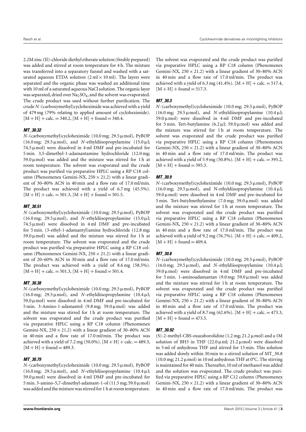2.2M zinc (II)-chloride diethyl etherate solution (freshly prepared) was added and stirred at room temperature for 4 h. The mixture was transferred into a separatory funnel and washed with a saturated aqueous ETDA solution  $(2 \text{ ml} \times 10 \text{ ml})$ . The layers were separated and the organic phase was washed an additional time with 10 ml of a saturated aqueous NaCl solution. The organic layer was separated, dried over  $Na<sub>2</sub>SO<sub>4</sub>$ , and the solvent was evaporated. The crude product was used without further purification. The crude *N*-(carboxymethyl)cycloheximide was achieved with a yield of 479 mg (79% relating to applied amount of cycloheximide).  $[M + H] +$  calc. = 340.2,  $[M + H] +$  found = 340.4.

# **MT\_30.32**

*N*-(carboxymethyl)cycloheximide (10.0 mg; 29.5µmol), PyBOP (16.0 mg; 29.5  $\mu$ mol), and *N*-ethyldiisopropylamine (15.0  $\mu$ l;  $74.5 \mu$ mol) were dissolved in 4 ml DMF and pre-incubated for 5 min. 3,5-dimethyl-1-adamantamine hydrochloride (12.0 mg;  $59.0 \,\mathrm{\upmu}$ mol) was added and the mixture was stirred for 1h at room temperature. The solvent was evaporated and the crude product was purified via preparative HPLC using a RP C18 column (Phenomenex Gemini-NX,  $250 \times 21.2$ ) with a linear gradient of 30–80% ACN in 40 min and a flow rate of 17.0 ml/min. The product was achieved with a yield of 6.7 mg (45.5%).  $[M + H] + \text{calc.} = 501.3$ ,  $[M + H] + \text{found} = 501.5$ .

# **MT\_30.51**

 $N$ -(carboxymethyl)cycloheximide (10.0 mg; 29.5  $\mu$ mol), PyBOP (16.0 mg; 29.5  $\mu$ mol), and *N*-ethyldiisopropylamine (15.0  $\mu$ l;  $74.5 \mu$ mol) were dissolved in 4 ml DMF and pre-incubated for 5 min. (3-ethyl-1-adamantyl)amine hydrochloride (12.8 mg;  $59.0 \,\mu$ mol) was added and the mixture was stirred for 1 h at room temperature. The solvent was evaporated and the crude product was purified via preparative HPLC using a RP C18 column (Phenomenex Gemini-NX,  $250 \times 21.2$ ) with a linear gradient of 20–60% ACN in 30 min and a flow rate of 17.0 ml/min. The product was achieved with a yield of 8.6 mg (58.5%).  $[M + H] + \text{calc.} = 501.3$ ,  $[M + H] + \text{found} = 501.4$ .

# **MT\_30.38**

*N*-(carboxymethyl)cycloheximide (10.0 mg; 29.5µmol), PyBOP  $(16.0 \text{ mg}; 29.5 \mu \text{mol})$ , and *N*-ethyldiisopropylamine  $(10.4 \mu \text{J};$ 59.0  $\mu$ mol) were dissolved in 4 ml DMF and pre-incubated for 5 min. 3-Amino-1-adamantol  $(9.8 \text{ mg}; 59.0 \mu \text{mol})$  was added and the mixture was stirred for 1 h at room temperature. The solvent was evaporated and the crude product was purified via preparative HPLC using a RP C18 column (Phenomenex Gemini-NX,  $250 \times 21.2$ ) with a linear gradient of 30–80% ACN in 40 min and a flow rate of 17.0 ml/min. The product was achieved with a yield of 7.2 mg (50.0%).  $[M + H] + \text{calc.} = 489.3$ ,  $[M + H] + found = 489.3.$ 

# **MT\_30.79**

*N*-(carboxymethyl)cycloheximide (10.0 mg; 29.5µmol), PyBOP  $(16.0 \text{ mg}; 29.5 \text{ µmol})$ , and *N*-ethyldiisopropylamine  $(10.4 \text{ µl})$ ;  $59.0 \,\mu$ mol) were dissolved in 4 ml DMF and pre-incubated for 5 min. 3-amino-5,7-dimethyl-adamant-1-ol (11.5 mg; 59.0  $\mu$  mol) was added and the mixture was stirred for 1 h at room temperature.

The solvent was evaporated and the crude product was purified via preparative HPLC using a RP C18 column (Phenomenex Gemini-NX,  $250 \times 21.2$ ) with a linear gradient of 30–80% ACN in 40 min and a flow rate of 17.0 ml/min. The product was achieved with a yield of 6.3 mg (41.4%).  $[M + H] + \text{calc.} = 517.4$ ,  $[M + H] + found = 517.3.$ 

# **MT\_30.3**

*N*-(carboxymethyl)cycloheximide (10.0 mg; 29.5µmol), PyBOP  $(16.0 \text{ mg}; 29.5 \text{ µmol})$ , and *N*-ethyldiisopropylamine  $(10.4 \text{ µl})$ ; 59.0  $\mu$ mol) were dissolved in 4 ml DMF and pre-incubated for 5 min. Tert-butylamine  $(6.2 \mu l; 59.0 \mu mol)$  was added and the mixture was stirred for 1 h at room temperature. The solvent was evaporated and the crude product was purified via preparative HPLC using a RP C18 column (Phenomenex Gemini-NX,  $250 \times 21.2$ ) with a linear gradient of 30–80% ACN in 40 min and a flow rate of 17.0 ml/min. The product was achieved with a yield of 5.9 mg (50.8%).  $[M + H] + \text{calc.} = 395.2$ ,  $[M + H] + found = 395.3.$ 

# **MT\_30.9**

*N*-(carboxymethyl)cycloheximide (10.0 mg; 29.5µmol), PyBOP (16.0 mg; 29.5  $\mu$ mol), and N-ethyldiisopropylamine (10.4  $\mu$ l; 59.0  $\mu$ mol) were dissolved in 4 ml DMF and pre-incubated for 5 min. Tert-butylmethylamine  $(7.0 \text{ mg}; 59.0 \mu \text{mol})$  was added and the mixture was stirred for 1 h at room temperature. The solvent was evaporated and the crude product was purified via preparative HPLC using a RP C18 column (Phenomenex Gemini-NX,  $250 \times 21.2$ ) with a linear gradient of 30–80% ACN in 40 min and a flow rate of 17.0 ml/min. The product was achieved with a yield of 9.2 mg (76.7%).  $[M + H] + \text{calc.} = 409.2$ ,  $[M + H] + found = 409.4.$ 

# **MT\_30.8**

*N*-(carboxymethyl)cycloheximide (10.0 mg; 29.5µmol), PyBOP (16.0 mg; 29.5  $\mu$ mol), and *N*-ethyldiisopropylamine (10.4  $\mu$ l;  $59.0 \mu$ mol) were dissolved in 4 ml DMF and pre-incubated for 5 min. 1-aminoadamantan  $(9.0 \text{ mg}; 59.0 \mu \text{mol})$  was added and the mixture was stirred for 1 h at room temperature. The solvent was evaporated and the crude product was purified via preparative HPLC using a RP C18 column (Phenomenex Gemini-NX,  $250 \times 21.2$ ) with a linear gradient of 30–80% ACN in 40 min and a flow rate of 17.0 ml/min. The product was achieved with a yield of 8.7 mg (62.6%).  $[M + H] + \text{calc.} = 473.3$ ,  $[M + H] + found = 473.5.$ 

# **MT\_30.92**

(S)-2-methyl-CBS-oxazaborolidine (1.2 mg;  $21.2 \mu$  mol) and a 1M solution of BH3 in THF (22.0  $\mu$ ml; 21.2  $\mu$ mol) were dissolved in 5 ml of anhydrous THF and stirred for 15 min. This solution was added slowly within 30 min to a stirred solution of MT\_30.8 (10.0 mg;  $21.2 \mu$  mol) in 10 ml anhydrous THF at 0°C. The stirring is maintained for 40 min. Thereafter, 10 ml of methanol was added and the solution was evaporated. The crude product was purified via preparative HPLC using a RP C12 column (Phenomenex Gemini-NX,  $250 \times 21.2$ ) with a linear gradient of 30–80% ACN in 40 min and a flow rate of 17.0 ml/min. The product was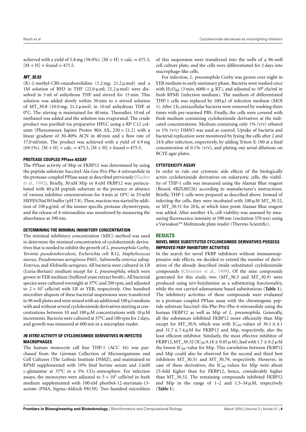achieved with a yield of 5.8 mg (58.0%).  $[M + H] + \text{calc.} = 475.3$ ,  $[M + H] + found = 475.5.$ 

# **MT\_30.93**

(R)-2-methyl-CBS-oxazaborolidine  $(1.2 \text{ mg}; 21.2 \mu \text{mol})$  and a 1M solution of BH3 in THF  $(22.0 \,\mu\text{ml}; 21.2 \,\mu\text{mol})$  were dissolved in 5 ml of anhydrous THF and stirred for 15 min. This solution was added slowly within 30 min to a stirred solution of MT\_30.8 (10.0 mg;  $21.2 \mu$  mol) in 10 ml anhydrous THF at 0°C. The stirring is maintained for 40 min. Thereafter, 10 ml of methanol was added and the solution was evaporated. The crude product was purified via preparative HPLC using a RP C12 column (Phenomenex Jupiter Proteo 90A AX,  $250 \times 21.2$ ) with a linear gradient of 30–80% ACN in 40 min and a flow rate of 17.0 ml/min. The product was achieved with a yield of 6.9 mg  $(69.1\%)$ .  $[M + H] + calc. = 475.3$ ,  $[M + H] + found = 475.3$ .

# **PROTEASE COUPLED PPIase ASSAY**

The PPIase activity of Mip or FKBP12 was determined by using the peptide substrate Succinyl-Ala-Leu-Pro-Phe-4-nitroanilide in the protease-coupled PPIase assay as described previously [\(Fischer](#page-8-8) [et al.,](#page-8-8) [1992\)](#page-8-8). Briefly, 30 nM Mip or 8 nM FKBP12 was preincubated with  $40 \mu M$  peptide substrate in the presence or absence of various inhibitor concentrations for 4 min at 10°C in 35 mM HEPES/NaOH buffer (pH 7.8). Then, reaction was started by addition of 100µg/mL of the isomer specific protease chymotrypsin, and the release of 4-nitroaniline was monitored by measuring the absorbance at 390 nm.

#### **DETERMINING THE MINIMAL INHIBITORY CONCENTRATION**

The minimal inhibitory concentration (MIC) method was used to determine the minimal concentration of cycloheximide derivatives that is needed to inhibit the growth of *L. pneumophila* Corby*, Yersinia pseudotuberculosis, Escherichia coli* K12*, Staphylococcus aureus, Pseudomonas aeruginosa* PA01*, Salmonella enterica* subsp. *Enterica*, and *Klebsiella aerogenes*. All bacteria were cultured in LB (Luria-Bertani) medium except for *L. pneumophila*, which were grown in YEB medium (buffered yeast extract broth). All bacterial species were cultured overnight at 37°C and 200 rpm, and adjusted to  $2 \times 10^7$  cells/ml with LB or YEB, respectively. One hundred microliter aliquots of these bacterial suspensions were transferred to 96 well plates and were mixed with an additional 100  $\mu$ l medium with and without several cycloheximide derivatives starting at concentrations between 10 and 100  $\mu$ M concentrations with 10  $\mu$ M increments. Bacteria were cultured at 37°C and 180 rpm for 2 days, and growth was measured at 600 nm in a microplate reader.

# **IN VITRO ACTIVITY OF CYCLOHEXIMIDE DERIVATIVES IN INFECTED MACROPHAGES**

The human monocyte cell line THP-1 (ACC 16) was purchased from the German Collection of Microorganisms and Cell Cultures (The Leibniz Institute DSMZ), and maintained in RPMI supplemented with 10% fetal bovine serum and 2 mM  $L$ -glutamine at 37°C in a 5%  $CO<sub>2</sub>$ -atmosphere. For infection assays, the monocytes were adjusted to 5  $\times$  10<sup>5</sup> cells/ml in fresh medium supplemented with 100 nM phorbol-12-myristate-13 acetate (PMA, Sigma–Aldrich P8139). Two hundred microliters

of this suspension were transferred into the wells of a 96-well cell culture plate, and the cells were differentiated for 2 days into macrophage-like cells.

For infection, *L. pneumophila* Corby was grown over night in YEB medium to early stationary phase. Bacteria were washed once with  $H_2O_{dd}$  (3 min, 6000  $\times$  *g*, RT), and adjusted to 10<sup>6</sup> cfu/ml in fresh RPMI (infection medium). The medium of differentiated THP-1 cells was replaced by  $100 \mu l$  of infection medium (MOI 1). After 2 h, extracellular bacteria were removed by washing three times with pre-warmed PBS. Finally, the cells were covered with fresh medium containing cycloheximide derivatives at the indicated concentrations. Medium containing only 1% (v/v) ethanol or 1% (v/v) DMSO was used as control. Uptake of bacteria and bacterial replication were monitored by lysing the cells after 2 and 24 h after infection, respectively, by adding Triton X-100 at a final concentration of 0.1% (v/v), and plating out serial dilutions on BCYE agar plates.

# **CYTOTOXICITY ASSAY**

In order to rule out cytotoxic side effects of the biologically active cycloheximide derivatives on eukaryotic cells, the viability of THP-1 cells was measured using the Alamar Blue reagent (Biozol, #BZL00726) according to manufacturer's instructions. Briefly, THP-1 cells were prepared as described above. Instead of infecting the cells, they were incubated with  $100 \mu M MT_30.32$ , or MT\_30.51 for 20 h, at which time point Alamar Blue reagent was added. After another 4 h, cell viability was assessed by measuring fluorescence intensity at 590 nm (excitation 570 nm) using a Varioskan™ Multimode plate reader (Thermo Scientific).

# **RESULTS**

# **NOVEL IMIDE SUBSTITUTED CYCLOHEXIMIDE DERIVATIVES POSSESS IMPROVED FKBP INHIBITORY ACTIVITIES**

In the search for novel FKBP inhibitors without immunosuppressive side effects, we decided to extend the number of derivatives of the already described imide substituted cycloheximide compounds [\(Christner et al.,](#page-7-2) [1999\)](#page-7-2). Of the nine compounds generated for this study, two (MT\_30.3 and MT\_30.9) were produced using tert-butylamine as a substituting functionality, while the rest carried adamantane based substitutions (**[Table 1](#page-5-0)**). The inhibitory activities of these compounds were evaluated in a protease coupled PPIase assay with the chromogenic peptide substrate Succinyl-Ala-Phe-Pro-Phe-4-nitroanilide using the human FKBP12 as well as Mip of *L. pneumophila*. Generally, all the substances inhibited FKBP12 more efficiently than Mip except for MT\_30.9, which was with IC<sub>50</sub>-values of  $36.1 \pm 4.1$ and  $31.7 \pm 7.4 \,\mu$ M for FKBP12 and Mip, respectively, also the least efficient inhibitor. Similarly, the most effective inhibitor of FKBP12, MT\_30.32 (IC<sub>50</sub> 0.18  $\pm$  0.05  $\mu$ M), had with 1.7  $\pm$  0.2  $\mu$ M the lowest  $IC_{50}$ -value for Mip. This correlation between FKBP12 and Mip could also be observed for the second and third best inhibitors MT\_30.51 and MT\_30.79, respectively. However, in case of these derivatives, the  $IC_{50}$ -values for Mip were about 25-fold higher than for FKBP12, hence, considerably higher than MT\_30.32. The remaining compounds inhibited FKBP12 and Mip in the range of  $1-2$  and  $1.5-34 \mu M$ , respectively (**[Table 1](#page-5-0)**).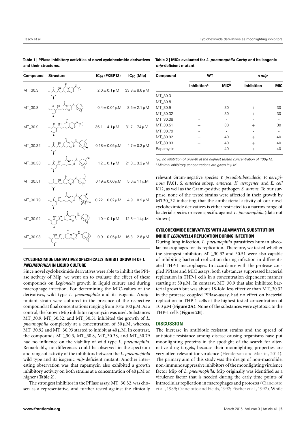| Compound | <b>Structure</b>                                                                                                                                                                                                                                                                                                                                                       | $IC_{50}$ (FKBP12)            | $IC_{50}$ (Mip)             |
|----------|------------------------------------------------------------------------------------------------------------------------------------------------------------------------------------------------------------------------------------------------------------------------------------------------------------------------------------------------------------------------|-------------------------------|-----------------------------|
| MT_30.3  | $\frac{1}{2}$ or $\frac{1}{2}$ or $\frac{1}{2}$ or $\frac{1}{2}$ K                                                                                                                                                                                                                                                                                                     | $2.0 \pm 0.1 \,\mu M$         | $33.8 \pm 8.6 \,\mu M$      |
| MT_30.8  | t v d N<br>$\frac{1}{2}$                                                                                                                                                                                                                                                                                                                                               | $0.4 \pm 0.04 \,\mu M$        | $8.5 \pm 2.1 \,\mu M$       |
| MT_30.9  | $\bigcup_{n=0}^{\infty} a_n$<br>$\begin{picture}(120,17) \put(15,17){\line(1,0){155}} \put(15,17){\line(1,0){155}} \put(15,17){\line(1,0){155}} \put(15,17){\line(1,0){155}} \put(15,17){\line(1,0){155}} \put(15,17){\line(1,0){155}} \put(15,17){\line(1,0){155}} \put(15,17){\line(1,0){155}} \put(15,17){\line(1,0){155}} \put(15,17){\line(1,0){155}} \put(15,17$ | $36.1 \pm 4.1 \,\mu M$        | $31.7 \pm 7.4 \,\mu M$      |
| MT_30.32 | $\frac{1}{\sqrt{2}}$<br>$\begin{pmatrix} 0 & 0 & 0 & 0 \\ 0 & 0 & 0 & 0 \\ 0 & 0 & 0 & 0 \\ 0 & 0 & 0 & 0 \\ 0 & 0 & 0 & 0 \\ 0 & 0 & 0 & 0 \\ 0 & 0 & 0 & 0 \\ 0 & 0 & 0 & 0 \\ 0 & 0 & 0 & 0 \\ 0 & 0 & 0 & 0 \\ 0 & 0 & 0 & 0 \\ 0 & 0 & 0 & 0 \\ 0 & 0 & 0 & 0 \\ 0 & 0 & 0 & 0 & 0 \\ 0 & 0 & 0 & 0 & 0 \\ 0 & 0 & 0 & 0 & 0 \\ 0 & 0 & 0 & 0 & $                 | $0.18\pm0.05\,\mu\text{M}$    | $1.7 \pm 0.2 \,\mu M$       |
| MT_30.38 | $\frac{1}{\sqrt{6}}$                                                                                                                                                                                                                                                                                                                                                   | $1.2\pm0.1\,\mu\text{M}$      | $21.8 \pm 3.3 \,\mu M$      |
| MT_30.51 | $4.8$ or $4.8$ or $4.8$                                                                                                                                                                                                                                                                                                                                                | $0.19\pm0.06\,\mu\text{M}$    | $5.6 \pm 1.1 \,\mu M$       |
| MT_30.79 | $\begin{picture}(180,10) \put(0,0){\line(1,0){10}} \put(10,0){\line(1,0){10}} \put(10,0){\line(1,0){10}} \put(10,0){\line(1,0){10}} \put(10,0){\line(1,0){10}} \put(10,0){\line(1,0){10}} \put(10,0){\line(1,0){10}} \put(10,0){\line(1,0){10}} \put(10,0){\line(1,0){10}} \put(10,0){\line(1,0){10}} \put(10,0){\line(1,0){10}} \put(10,0){\line($                    | $0.22 \pm 0.02 \,\mu\text{M}$ | $4.9 \pm 0.9 \,\mu\text{M}$ |
| MT_30.92 | $\begin{picture}(180,10) \put(10,10){\line(1,0){10}} \put(10,10){\line(1,0){10}} \put(10,10){\line(1,0){10}} \put(10,10){\line(1,0){10}} \put(10,10){\line(1,0){10}} \put(10,10){\line(1,0){10}} \put(10,10){\line(1,0){10}} \put(10,10){\line(1,0){10}} \put(10,10){\line(1,0){10}} \put(10,10){\line(1,0){10}} \put(10,10){\line(1,0){10$                            | $1.0 \pm 0.1 \,\mu\text{M}$   | $12.6 \pm 1.4 \,\mu M$      |
| MT_30.93 | $\frac{1}{\sqrt{1-\frac{1}{2}}}$                                                                                                                                                                                                                                                                                                                                       | $0.9\pm0.05\,\mu\text{M}$     | $16.3\pm2.6\,\mu\text{M}$   |

<span id="page-5-0"></span>

| Table 1   PPlase inhibitory activities of novel cycloheximide derivatives |
|---------------------------------------------------------------------------|
| and their structures.                                                     |

<span id="page-5-1"></span>**Table 2 | MICs evaluated for L. pneumophil a Corby and its isogenic mip-deficient mutant**.

| Compound  | <b>WT</b>                     |                        | $\Delta$ mip      |            |
|-----------|-------------------------------|------------------------|-------------------|------------|
|           | <b>Inhibition<sup>a</sup></b> | <b>MIC<sup>b</sup></b> | <b>Inhibition</b> | <b>MIC</b> |
| MT_30.3   |                               |                        |                   |            |
| MT_30.8   |                               |                        |                   |            |
| MT_30.9   | $^{+}$                        | 30                     | $\pm$             | 30         |
| MT_30.32  | $^{+}$                        | 30                     | $^{+}$            | 30         |
| MT_30.38  |                               |                        |                   |            |
| MT_30.51  | $^{+}$                        | 30                     | $\pm$             | 30         |
| MT_30.79  |                               |                        |                   |            |
| MT_30.92  | $^{+}$                        | 40                     | $^{+}$            | 40         |
| MT_30.93  | $^{+}$                        | 40                     | $^{+}$            | 40         |
| Rapamycin | $^+$                          | 40                     | $\pm$             | 40         |

<sup>a</sup>(-): no inhibition of growth at the highest tested concentration of 100  $\mu$ M.  $b$ Minimal inhibitory concentrations are given in  $\mu$ M.

relevant Gram-negative species *Y. pseudotuberculosis, P. aeruginosa* PA01*, S. enterica* subsp. *enterica, K. aerogenes*, and *E. coli* K12, as well as the Gram-positive pathogen *S. aureus*. To our surprise, none of the tested strains were affected in their growth by MT30\_32 indicating that the antibacterial activity of our novel cycloheximide derivatives is either restricted to a narrow range of bacterial species or even specific against *L. pneumophila* (data not shown).

# **CYCLOHEXIMIDE DERIVATIVES WITH ADAMANTYL SUBSTITUTION INHIBIT LEGIONELLA REPLICATION DURING INFECTION**

During lung infection, *L. pneumophila* parasitizes human alveolar macrophages for its replication. Therefore, we tested whether the strongest inhibitors MT\_30.32 and 30.51 were also capable of inhibiting bacterial replication during infection in differentiated THP-1 macrophages. In accordance with the protease coupled PPIase and MIC assays, both substances suppressed bacterial replication in THP-1 cells in a concentration dependent manner starting at 50  $\mu$ M. In contrast, MT\_30.9 that also inhibited bacterial growth but was about 18-fold less effective than MT\_30.32 in the protease coupled PPIase-assay, had no effect on bacterial replication in THP-1 cells at the highest tested concentration of  $100 \mu$ M (**[Figure 2A](#page-6-0)**). None of the substances were cytotoxic to the THP-1 cells (**[Figure 2B](#page-6-0)**).

# **DISCUSSION**

The increase in antibiotic resistant strains and the spread of antibiotic resistance among disease causing organisms have put moonlighting proteins in the spotlight of the search for alternative drug targets, because their moonlighting properties are very often relevant for virulence [\(Henderson and Martin,](#page-8-15) [2014\)](#page-8-15). The primary aim of this study was the design of non-macrolide, non-immunosuppressive inhibitors of the moonlighting virulence factor Mip of *L. pneumophila*. Mip originally was identified as a virulence factor that is needed during the early time points of intracellular replication in macrophages and protozoa [\(Cianciotto](#page-8-1) [et al.,](#page-8-1) [1989;](#page-8-1) [Cianciotto and Fields,](#page-8-2) [1992;](#page-8-2) [Fischer et al.,](#page-8-8) [1992\)](#page-8-8). While

# **CYCLOHEXIMIDE DERIVATIVES SPECIFICALLY INHIBIT GROWTH OF L. PNEUMOPHILA IN LIQUID CULTURE**

Since novel cycloheximide derivatives were able to inhibit the PPIase activity of Mip, we went on to evaluate the effect of these compounds on *Legionella* growth in liquid culture and during macrophage infection. For determining the MIC-values of the derivatives, wild type *L. pneumophila* and its isogenic ∆*mip*mutant strain were cultured in the presence of the respective compound at final concentrations ranging from 10 to 100  $\mu$ M. As a control, the known Mip inhibitor rapamycin was used. Substances MT\_30.9, MT\_30.32, and MT\_30.51 inhibited the growth of *L. pneumophila* completely at a concentration of  $30 \mu M$ , whereas,  $MT_30.92$  and  $MT_30.93$  started to inhibit at 40  $\mu$ M. In contrast, the compounds MT\_30.3, MT\_30.8, MT\_30.38, and MT\_30.79 had no influence on the viability of wild type *L. pneumophila*. Remarkably, no differences could be observed in the spectrum and range of activity of the inhibitors between the *L. pneumophila* wild type and its isogenic *mip*-deficient mutant. Another interesting observation was that rapamycin also exhibited a growth inhibitory activity on both strains at a concentration of  $40 \mu M$  or higher (**[Table 2](#page-5-1)**).

The strongest inhibitor in the PPIase assay, MT\_30.32, was chosen as a representative, and further tested against the clinically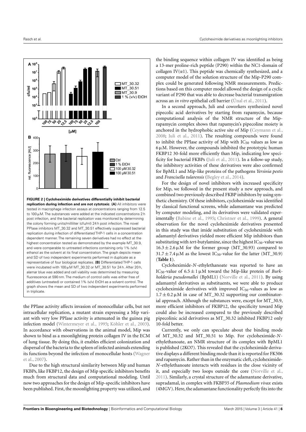

<span id="page-6-0"></span>highest concentration tested as demonstrated by the example MT\_30.9, and were comparable to untreated infections containing only 1% (v/v) ethanol as the solvent at its final concentration. The graph depicts mean and SD of two independent experiments performed in duplicate as a representative of four biological replicates. **(B)** Differentiated THP-1 cells were incubated with 100 µM MT\_30.32 or MT\_30.51 for 24 h. After 20 h, alamar blue was added and cell viability was determined by measuring fluorescence at 590 nm. The medium of control cells was either free of additives (untreated) or contained 1% (v/v) EtOH as a solvent control. The graph shows the mean and SD of two independent experiments performed in triplicate.

the PPIase activity affects invasion of monocellular cells, but not intracellular replication, a mutant strain expressing a Mip variant with very low PPIase activity is attenuated in the guinea pig infection model [\(Wintermeyer et al.,](#page-8-11) [1995;](#page-8-11) [Köhler et al.,](#page-8-4) [2003\)](#page-8-4). In accordance with observations in the animal model, Mip was shown to bind as a moonlighting protein collagen IV in the ECM of lung tissue. By doing this, it enables efficient colonization and dispersal of the bacteria to the spleen of infected animals extending its functions beyond the infection of monocellular hosts [\(Wagner](#page-8-13) [et al.,](#page-8-13) [2007\)](#page-8-13).

Due to the high structural similarity between Mip and human FKBPs, like FKBP12, the design of Mip specific inhibitors benefits much from structural data and computational modeling. Until now two approaches for the design of Mip-specific inhibitors have been published. First, the moonlighting property was utilized, and

the binding sequence within collagen IV was identified as being a 13-mer proline-rich peptide (P290) within the NC1-domain of collagen IV( $\alpha$ 1). This peptide was chemically synthesized, and a computer model of the solution structure of the Mip-P290 complex could be generated following NMR measurements. Predictions based on this computer model allowed the design of a cyclic variant of P290 that was able to decrease bacterial transmigration across an *in vitro* epithelial cell barrier [\(Ünal et al.,](#page-8-14) [2011\)](#page-8-14).

In a second approach, Juli and coworkers synthesized novel pipecolic acid derivatives by starting from rapamycin, because computational analysis of the NMR structure of the Miprapamycin complex shows that rapamycin's pipecoline moiety is anchored in the hydrophobic active site of Mip [\(Ceymann et al.,](#page-7-0) [2008;](#page-7-0) [Juli et al.,](#page-8-26) [2011\)](#page-8-26). The resulting compounds were found to inhibit the PPIase activity of Mip with  $IC_{50}$  values as low as  $6 \mu$ M. However, the compounds inhibited the prototypic human FKBP12 30-fold more efficiently than Mip, indicating low specificity for bacterial FKBPs [\(Juli et al.,](#page-8-26) [2011\)](#page-8-26). In a follow-up study, the inhibitory activities of these derivatives were also confirmed for BpML1 and Mip-like proteins of the pathogens *Yersinia pestis* and *Francisella tularensis* [\(Begley et al.,](#page-7-4) [2014\)](#page-7-4).

For the design of novel inhibitors with increased specificity for Mip, we followed in the present study a new approach, and combined two previously described FKBP inhibitors by using synthetic chemistry. Of these inhibitors, cycloheximide was identified by classical functional screens, while adamantane was predicted by computer modeling, and its derivatives were validated experimentally [\(Babine et al.,](#page-7-3) [1995;](#page-7-3) [Christner et al.,](#page-7-2) [1999\)](#page-7-2). A general observation for the novel cycloheximide derivatives presented in this study was that imide substitution of cycloheximide with adamantyl derivatives yielded more efficient Mip inhibitors than substituting with *tert*-butylamine, since the highest  $IC_{50}$ -value was  $16.3 \pm 2.6 \,\mu\text{M}$  for the former group (MT\_30.93) compared to  $31.7 \pm 7.4 \,\mu$ M as the lowest IC<sub>50</sub>-value for the latter (MT\_30.9) (**[Table 1](#page-5-0)**).

Cycloheximide-*N*-ethylethanoate was reported to have an IC<sub>50</sub>-value of  $6.5 \pm 1 \mu$ M toward the Mip-like protein of *Burkholderia pseudomallei* (BpML1) [\(Norville et al.,](#page-8-25) [2011\)](#page-8-25). By using adamantyl derivatives as substituents, we were able to produce cycloheximide derivatives with improved  $IC_{50}$ -values as low as  $1.7 \pm 0.2 \,\mu$ M in case of MT\_30.32 supporting our combinatorial approach. Although the substances were, except for MT\_30.9, more efficient inhibitors of FKBP12, the specificity toward Mip could also be increased compared to the previously described pipecolinic acid derivatives as MT\_30.32 inhibited FKBP12 only 10-fold better.

Currently, we only can speculate about the binding mode of MT\_30.32 and MT\_30.51 to Mip. For cycloheximide-*N*ethylethanoate, an NMR structure of its complex with BpML1 is published (2KO7). This revealed that the cycloheximide derivative displays a different binding mode than it is reported for FK506 and rapamycin. Rather than in the enzymatic cleft, cycloheximide-*N*-ethylethanoate interacts with residues in the close vicinity of it, and especially two loops outside the core [\(Norville et al.,](#page-8-25) [2011\)](#page-8-25). Similarly, a crystal structure of the adamantane derivative, supradamal, in complex with FKBP35 of *Plasmodium vivax* exists (4MGV). Here, the adamantane functionality perfectly fits into the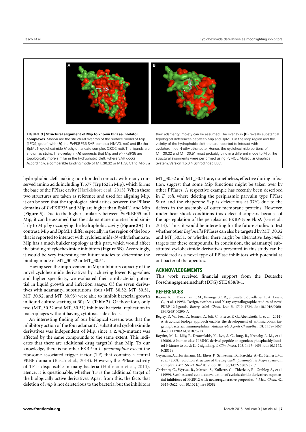

<span id="page-7-5"></span>**FIGURE 3 | Structural alignment of Mip to known PPIase-inhibitor complexes**. Shown are the structural overlays of the surface model of Mip (1FD9, green) with **(A)** the PvFKBP35-SAR-complex (4MVG, red) and **(B)** the BpML1- cycloheximide N-ethylethanoate complex (2KO7, red). The ligands are shown as sticks. The overlay in **(A)** suggests that Mip and PvFKBP35 are topologically more similar in the hydrophobic cleft, where SAR docks. Accordingly, a comparable binding mode of MT\_30.32 or MT\_30.51 to Mip via their adamantyl moiety can be assumed. The overlay in **(B)** reveals substantial topological differences between Mip and BpML1 in the loop region and the vicinity of the hydrophobic cleft that are reported to interact with cycloheximide N-ethylethanoate. Hence, the cycloheximide portions of MT\_30.32 and MT\_30.51 most probably bind in a different mode to Mip. The structural alignments were performed using PyMOL Molecular Graphics System, Version 1.5.0.4 Schrödinger, LLC.

hydrophobic cleft making non-bonded contacts with many conserved amino acids including Trp77 (Trp162 in Mip), which forms the base of the PPIase cavity [\(Harikishore et al.,](#page-8-27) [2013\)](#page-8-27). When these two structures are taken as reference and used for aligning Mip, it can be seen that the topological similarities between the PPIase domains of *Pv*FKBP35 and Mip are higher than BpML1 and Mip (**[Figure 3](#page-7-5)**). Due to the higher similarity between *Pv*FKBP35 and Mip, it can be assumed that the adamantane moieties bind similarly to Mip by occupying the hydrophobic cavity (**[Figure 3A](#page-7-5)**). In contrast, Mip and BpML1 differ especially in the region of the loop that is reported to interact with cycloheximide-*N*-ethylethanoate. Mip has a much bulkier topology at this part, which would affect the binding of cylocheximide inhibitors (**[Figure 3B](#page-7-5)**). Accordingly, it would be very interesting for future studies to determine the binding mode of MT\_30.32 or MT\_30.51.

Having seen the improvement in Mip inhibitory capacity of the novel cycloheximide derivatives by achieving lower  $IC_{50}$ -values and higher specificity, we evaluated their antibacterial potential in liquid growth and infection assays. Of the seven derivatives with adamantyl substitutions, four (MT\_30.32, MT\_30.51, MT\_30.92, and MT\_30.93) were able to inhibit bacterial growth in liquid culture starting at  $30 \mu M$  ([Table 2](#page-5-1)). Of those four, only two (MT\_30.32 and MT\_30.51) inhibited bacterial replication in macrophages without having cytotoxic side effects.

An interesting finding of our biological screens was that the inhibitory action of the four adamantyl substituted cycloheximide derivatives was independent of Mip, since a ∆*mip*-mutant was affected by the same compounds to the same extent. This indicates that there are additional drug target(s) than Mip. To our knowledge, there is no other FKBP in *L. pneumophila* except the ribosome associated trigger factor (TF) that contains a central FKBP domain [\(Rasch et al.,](#page-8-28) [2014\)](#page-8-28). However, the PPIase activity of TF is dispensable in many bacteria [\(Hoffmann et al.,](#page-8-29) [2010\)](#page-8-29). Hence, it is questionable, whether TF is the additional target of the biologically active derivatives. Apart from this, the facts that deletion of *mip* is not deleterious to the bacteria, but the inhibitors MT\_30.32 and MT\_30.51 are, nonetheless, effective during infection, suggest that some Mip functions might be taken over by other PPIases. A respective example has recently been described in *E. coli*, where deleting the periplasmic parvulin type PPIase SurA and the chaperone Skp is deleterious at 37°C due to the defects in the assembly of outer membrane proteins. However, under heat shock conditions this defect disappears because of the up-regulation of the periplasmic FKBP-type FkpA [\(Ge et al.,](#page-8-30) [2014\)](#page-8-30). Thus, it would be interesting for the future studies to test whether other *Legionella* PPIases can also be targeted by MT\_30.32 and MT\_30.51, or whether there might be alternative *Legionella* targets for these compounds. In conclusion, the adamantyl substituted cycloheximide derivatives presented in this study can be considered as a novel type of PPIase inhibitors with potential as antibacterial therapeutics.

# **ACKNOWLEDGMENTS**

This work received financial support from the Deutsche Forschungsgemeinschaft (DFG) STE 838/8-1.

#### **REFERENCES**

- <span id="page-7-3"></span>Babine, R. E., Bleckman, T. M., Kissinger, C. R., Showalter, R., Pelletier, L. A., Lewis, C., et al. (1995). Design, synthesis and X-ray crystallographic studies of novel FKBP-12 ligands. *Bioorg. Med. Chem. Lett.* 5, 1719–1724. doi[:10.1016/0960-](http://dx.doi.org/10.1016/0960-894X(95)00290-A) [894X\(95\)00290-A](http://dx.doi.org/10.1016/0960-894X(95)00290-A)
- <span id="page-7-4"></span>Begley, D. W., Fox, D., Jenner, D., Juli, C., Pierce, P. G., Abendroth, J., et al. (2014). A structural biology approach enables the development of antimicrobials targeting bacterial immunophilins. *Antimicrob. Agents Chemother.* 58, 1458–1467. doi[:10.1128/AAC.01875-13](http://dx.doi.org/10.1128/AAC.01875-13)
- <span id="page-7-1"></span>Boytim, M. L., Lilly, P., Drouvalakis, K., Lyu, S. C., Jung, R., Krensky, A. M., et al. (2000). A human class II MHC-derived peptide antagonizes phosphatidylinositol 3-kinase to block IL-2 signaling. *J. Clin. Invest.* 105, 1447–1453. doi[:10.1172/](http://dx.doi.org/10.1172/JCI8139) [JCI8139](http://dx.doi.org/10.1172/JCI8139)
- <span id="page-7-0"></span>Ceymann, A., Horstmann, M., Ehses, P., Schweimer, K., Paschke, A.-K., Steinert, M., et al. (2008). Solution structure of the *Legionella pneumophila* Mip-rapamycin complex. *BMC Struct. Biol.* 8:17. doi[:10.1186/1472-6807-8-17](http://dx.doi.org/10.1186/1472-6807-8-17)
- <span id="page-7-2"></span>Christner, C., Wyrwa, R., Marsch, S., Küllertz, G., Thiericke, R., Grabley, S., et al. (1999). Synthesis and cytotoxic evaluation of cycloheximide derivatives as potential inhibitors of FKBP12 with neuroregenerative properties. *J. Med. Chem.* 42, 3615–3622. doi[:10.1021/jm991038t](http://dx.doi.org/10.1021/jm991038t)